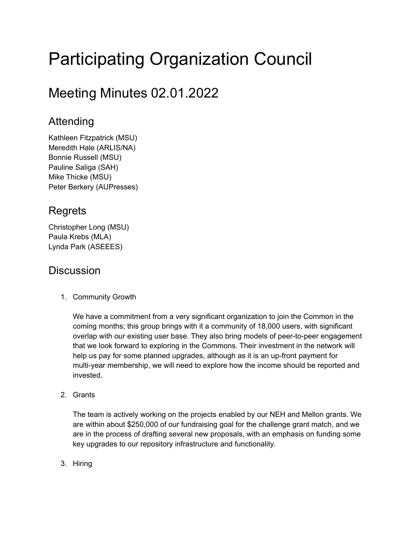# Participating Organization Council

## Meeting Minutes 02.01.2022

## Attending

Kathleen Fitzpatrick (MSU) Meredith Hale (ARLIS/NA) Bonnie Russell (MSU) Pauline Saliga (SAH) Mike Thicke (MSU) Peter Berkery (AUPresses)

## **Regrets**

Christopher Long (MSU) Paula Krebs (MLA) Lynda Park (ASEEES)

## **Discussion**

1. Community Growth

We have a commitment from a very significant organization to join the Common in the coming months; this group brings with it a community of 18,000 users, with significant overlap with our existing user base. They also bring models of peer-to-peer engagement that we look forward to exploring in the Commons. Their investment in the network will help us pay for some planned upgrades, although as it is an up-front payment for multi-year membership, we will need to explore how the income should be reported and invested.

2. Grants

The team is actively working on the projects enabled by our NEH and Mellon grants. We are within about \$250,000 of our fundraising goal for the challenge grant match, and we are in the process of drafting several new proposals, with an emphasis on funding some key upgrades to our repository infrastructure and functionality.

3. Hiring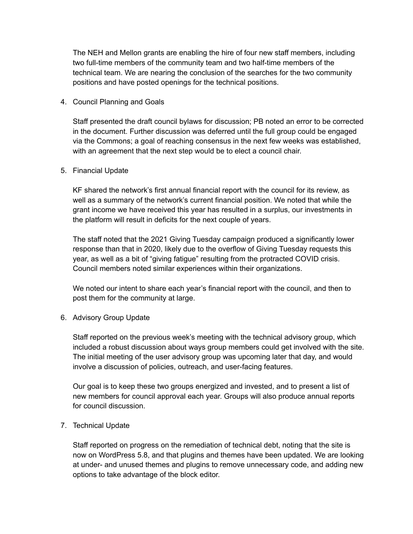The NEH and Mellon grants are enabling the hire of four new staff members, including two full-time members of the community team and two half-time members of the technical team. We are nearing the conclusion of the searches for the two community positions and have posted openings for the technical positions.

### 4. Council Planning and Goals

Staff presented the draft council bylaws for discussion; PB noted an error to be corrected in the document. Further discussion was deferred until the full group could be engaged via the Commons; a goal of reaching consensus in the next few weeks was established, with an agreement that the next step would be to elect a council chair.

#### 5. Financial Update

KF shared the network's first annual financial report with the council for its review, as well as a summary of the network's current financial position. We noted that while the grant income we have received this year has resulted in a surplus, our investments in the platform will result in deficits for the next couple of years.

The staff noted that the 2021 Giving Tuesday campaign produced a significantly lower response than that in 2020, likely due to the overflow of Giving Tuesday requests this year, as well as a bit of "giving fatigue" resulting from the protracted COVID crisis. Council members noted similar experiences within their organizations.

We noted our intent to share each year's financial report with the council, and then to post them for the community at large.

### 6. Advisory Group Update

Staff reported on the previous week's meeting with the technical advisory group, which included a robust discussion about ways group members could get involved with the site. The initial meeting of the user advisory group was upcoming later that day, and would involve a discussion of policies, outreach, and user-facing features.

Our goal is to keep these two groups energized and invested, and to present a list of new members for council approval each year. Groups will also produce annual reports for council discussion.

### 7. Technical Update

Staff reported on progress on the remediation of technical debt, noting that the site is now on WordPress 5.8, and that plugins and themes have been updated. We are looking at under- and unused themes and plugins to remove unnecessary code, and adding new options to take advantage of the block editor.